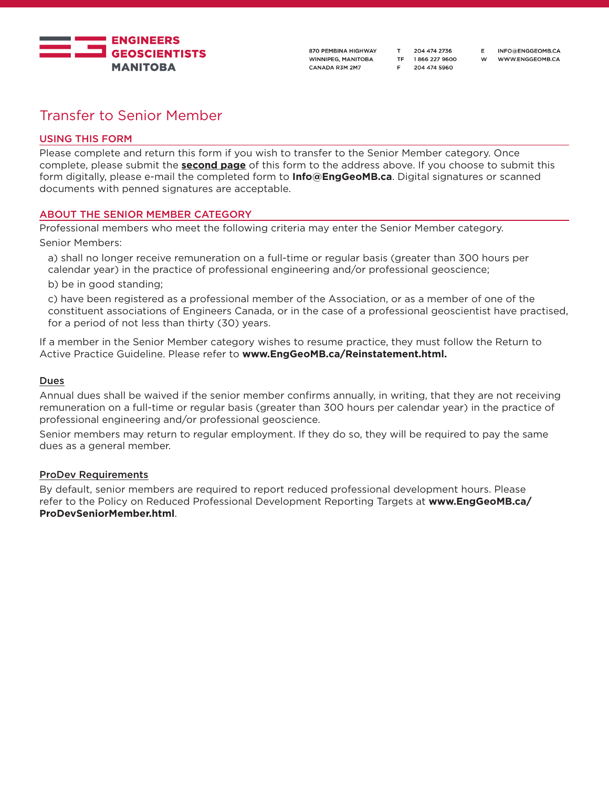

INFO@ENGGEOMB.CA W WWW.ENGGEOMB.CA

E

# Transfer to Senior Member

# USING THIS FORM

Please complete and return this form if you wish to transfer to the Senior Member category. Once complete, please submit the **second page** of this form to the address above. If you choose to submit this form digitally, please e-mail the completed form to **Info@EngGeoMB.ca**. Digital signatures or scanned documents with penned signatures are acceptable.

# ABOUT THE SENIOR MEMBER CATEGORY

Professional members who meet the following criteria may enter the Senior Member category. Senior Members:

a) shall no longer receive remuneration on a full-time or regular basis (greater than 300 hours per calendar year) in the practice of professional engineering and/or professional geoscience;

b) be in good standing;

c) have been registered as a professional member of the Association, or as a member of one of the constituent associations of Engineers Canada, or in the case of a professional geoscientist have practised, for a period of not less than thirty (30) years.

If a member in the Senior Member category wishes to resume practice, they must follow the Return to Active Practice Guideline. Please refer to **www.EngGeoMB.ca/Reinstatement.html.**

### **Dues**

Annual dues shall be waived if the senior member confirms annually, in writing, that they are not receiving remuneration on a full-time or regular basis (greater than 300 hours per calendar year) in the practice of professional engineering and/or professional geoscience.

Senior members may return to regular employment. If they do so, they will be required to pay the same dues as a general member.

### ProDev Requirements

By default, senior members are required to report reduced professional development hours. Please refer to the Policy on Reduced Professional Development Reporting Targets at **www.EngGeoMB.ca/ ProDevSeniorMember.html**.